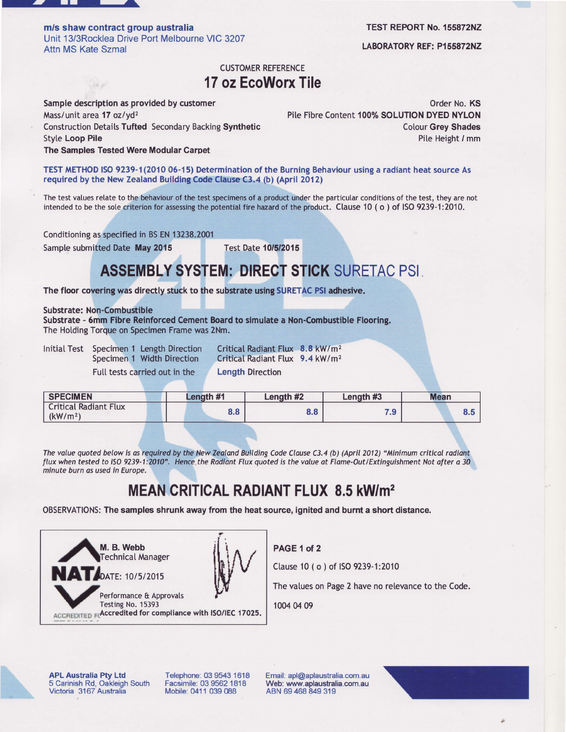

58 10

m/s shaw contract group australia Unit 13/3Rocklea Drive Port Melbourne VIC 3207 Attn MS Kate Szmal

TEST REPORT No. 155872N2

LABORATORY REF: P155872NZ

## CUSTOMER REFERENCE 17 oz EcoWorx Tile

Sample description as provided by customer Mass/unit area 17 oz/yd<sup>2</sup> Construction Detaits Tufted Secondary Backing Synthetic Styte Loop Pile The Samples Tested Were Modular Garpet

Order No. KS Pile Fibre Content 100% SOLUTION DYED NYLON **Colour Grey Shades** Pile Height / mm

TEST METHOD ISO 9239-1(2010 06-15) Determination of the Burning Behaviour using a radiant heat source As required by the New Zealand Building Code Clause C3.4 (b) (April 2012)

The test values relate to the behaviour of the test specimens of a product under the particutar conditions of the test, they are not intended to be the sole criterion for assessing the potential fire hazard of the product. Clause 10 (o) of ISO 9239-1:2010.

Conditioning as specified in BS EN 13238.2001

Sample submitted Date May 2015 Test Date 10/5/2015

## ASSEMBLY SYSTEM: DIRECT STICK SURETAC PSI

The floor covering was directly stuck to the substrate using SURETAC PSI adhesive.

Substrate: Non-Combustible

Substrate - 6mm Fibre Reinforced Cement Board to simulate a Non-Combustible Flooring. The Holding Torque on Specimen Frame was 2Nm.

Initial Test Specimen 1 Length Direction Critical Radiant Flux 8.8 kW/m<sup>2</sup><br>Specimen 1 Width Direction Critical Radiant Flux 9.4 kW/m<sup>2</sup> Full tests carried out in the Length Direction

Critical Radiant Flux 9.4 kW/m<sup>2</sup>

| <b>SPECIMEN</b>                                      | Lenath #1 | Length #2 | Length #3  | <b>Mean</b> |  |  |
|------------------------------------------------------|-----------|-----------|------------|-------------|--|--|
| <b>Critical Radiant Flux</b><br>(kW/m <sup>2</sup> ) | 8.8       | 8.8       | ם ל<br>. 5 | 0.0         |  |  |

The value quoted below is as required by the New Zealand Building Code Clause C3.4 (b) (April 2012) "Minimum critical radiant flux when tested to ISO 9239-1:2010". Hence the Radiant Flux quoted is the value at Flame-Out/Extinguishment Not after a 30 minute burn os used in Europe.

## MEAN CRITICAL RADIANT FLUX 8.5 kW/m<sup>2</sup>

OBSERVATIONS: The samples shrunk away from the heat source, ignited and burnt a short distance.



PAGE 1 of 2

Clause 10 ( o ) of ISO 9239-1:2010

The values on Page 2 have no relevance to the Code.

1004 04 09

APL Australia Pty Ltd 5 Carinish Rd, Oakleigh South Victoria 3167 Australia

Telephone: 03 9543 1618 Facsimile: 03 9562 1818 Mobile: 0411 039 088

Email: apl@aplaustralia.com.au Web: www.aplaustralia.com.au ABN 69 468 849 319